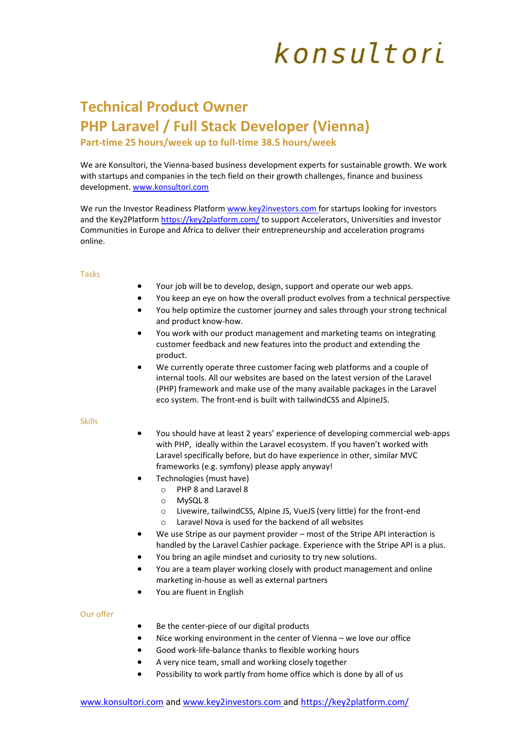## konsultori

### **Technical Product Owner PHP Laravel / Full Stack Developer (Vienna)**

**Part-time 25 hours/week up to full-time 38.5 hours/week**

We are Konsultori, the Vienna-based business development experts for sustainable growth. We work with startups and companies in the tech field on their growth challenges, finance and business development. [www.konsultori.com](http://www.konsultori.com/)

We run the Investor Readiness Platform www.key2investors.com for startups looking for investors and the Key2Platform <https://key2platform.com/> to support Accelerators, Universities and Investor Communities in Europe and Africa to deliver their entrepreneurship and acceleration programs online.

#### Tasks

- Your job will be to develop, design, support and operate our web apps.
- You keep an eye on how the overall product evolves from a technical perspective
- You help optimize the customer journey and sales through your strong technical and product know-how.
- You work with our product management and marketing teams on integrating customer feedback and new features into the product and extending the product.
- We currently operate three customer facing web platforms and a couple of internal tools. All our websites are based on the latest version of the Laravel (PHP) framework and make use of the many available packages in the Laravel eco system. The front-end is built with tailwindCSS and AlpineJS.

#### Skills

- You should have at least 2 years' experience of developing commercial web-apps with PHP, ideally within the Laravel ecosystem. If you haven't worked with Laravel specifically before, but do have experience in other, similar MVC frameworks (e.g. symfony) please apply anyway!
- Technologies (must have)
	- o PHP 8 and Laravel 8
	- o MySQL 8
	- o Livewire, tailwindCSS, Alpine JS, VueJS (very little) for the front-end
	- o Laravel Nova is used for the backend of all websites
- We use Stripe as our payment provider most of the Stripe API interaction is handled by the Laravel Cashier package. Experience with the Stripe API is a plus.
- You bring an agile mindset and curiosity to try new solutions.
- You are a team player working closely with product management and online marketing in-house as well as external partners
- You are fluent in English

#### Our offer

- Be the center-piece of our digital products
- Nice working environment in the center of Vienna we love our office
- Good work-life-balance thanks to flexible working hours
- A very nice team, small and working closely together
- Possibility to work partly from home office which is done by all of us